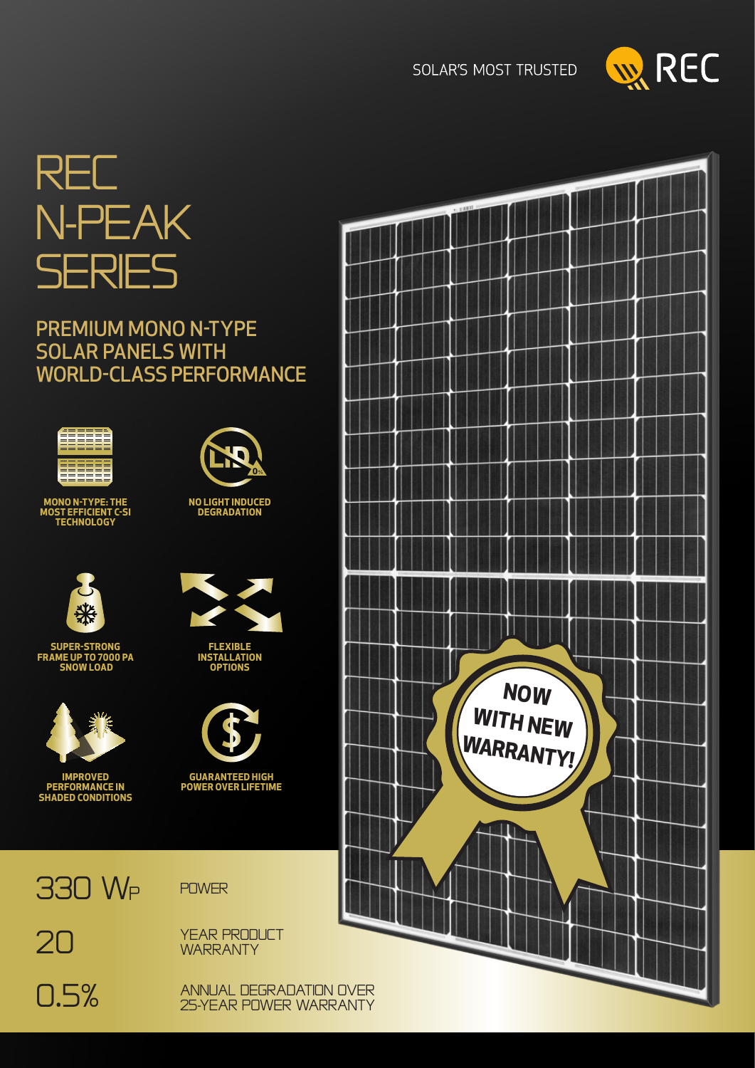**SOLAR'S MOST TRUSTED** 





# PREMIUM MONO N-TYPE SOLAR PANELS WITH WORLD-CLASS PERFORMANCE



**MONO N-TYPE: THE MOST EFFICIENT C-SI TECHNOLOGY**



**SUPER-STRONG FRAME UP TO 7000 PA SNOW LOAD**



**IMPROVED PERFORMANCE IN SHADED CONDITIONS**



**NO LIGHT INDUCED DEGRADATION**

**FLEXIBLE INSTALLATION OPTIONS**



**GUARANTEED HIGH POWER OVER LIFETIME**

330 WP

20



YEAR PRODUCT **WARRANTY** 

0.5%

ANNUAL DEGRADATION OVER 25-YEAR POWER WARRANTY